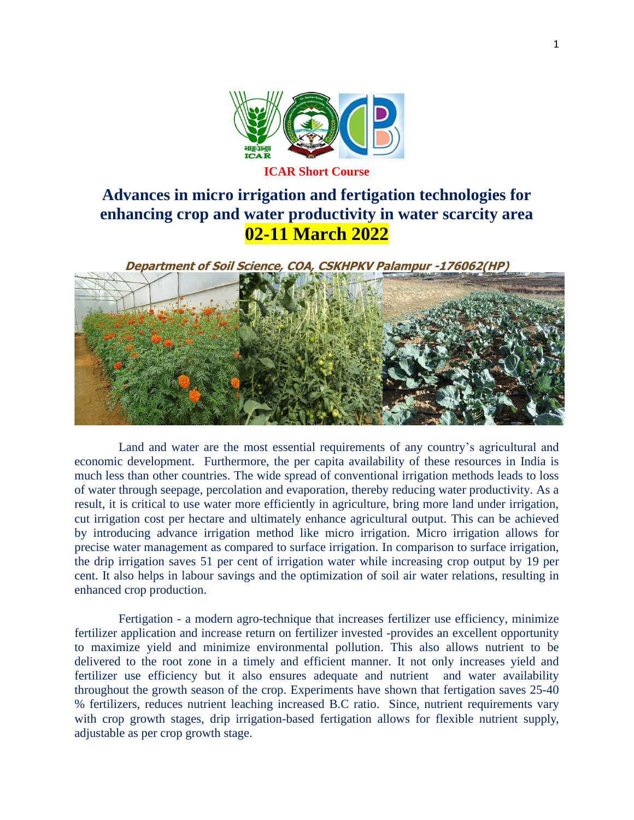

# **Advances in micro irrigation and fertigation technologies for enhancing crop and water productivity in water scarcity area 02-11 March 2022**

**Department of Soil Science, COA, CSKHPKV Palampur -176062(HP)**

Land and water are the most essential requirements of any country's agricultural and economic development. Furthermore, the per capita availability of these resources in India is much less than other countries. The wide spread of conventional irrigation methods leads to loss of water through seepage, percolation and evaporation, thereby reducing water productivity. As a result, it is critical to use water more efficiently in agriculture, bring more land under irrigation, cut irrigation cost per hectare and ultimately enhance agricultural output. This can be achieved by introducing advance irrigation method like micro irrigation. Micro irrigation allows for precise water management as compared to surface irrigation. In comparison to surface irrigation, the drip irrigation saves 51 per cent of irrigation water while increasing crop output by 19 per cent. It also helps in labour savings and the optimization of soil air water relations, resulting in enhanced crop production.

Fertigation - a modern agro-technique that increases fertilizer use efficiency, minimize fertilizer application and increase return on fertilizer invested -provides an excellent opportunity to maximize yield and minimize environmental pollution. This also allows nutrient to be delivered to the root zone in a timely and efficient manner. It not only increases yield and fertilizer use efficiency but it also ensures adequate and nutrient and water availability throughout the growth season of the crop. Experiments have shown that fertigation saves 25-40 % fertilizers, reduces nutrient leaching increased B.C ratio. Since, nutrient requirements vary with crop growth stages, drip irrigation-based fertigation allows for flexible nutrient supply, adjustable as per crop growth stage.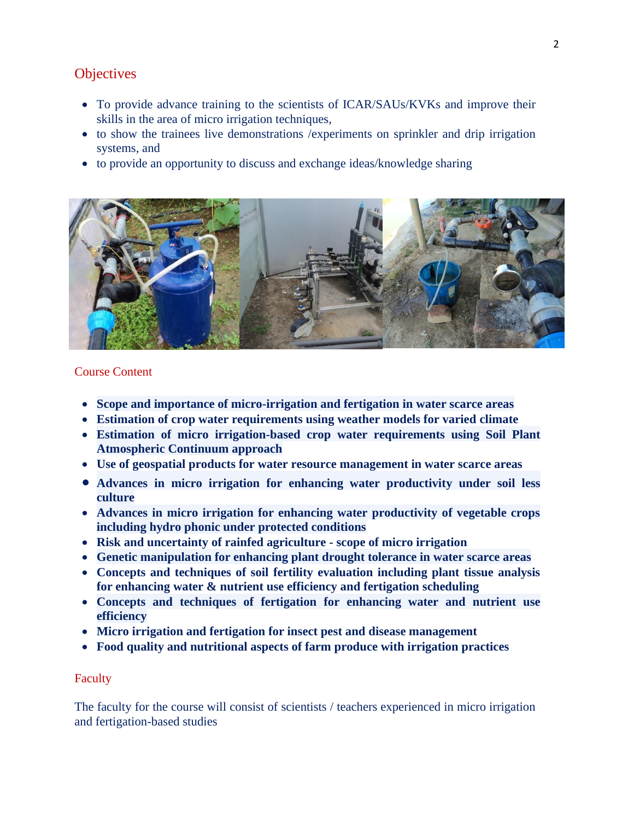## **Objectives**

- To provide advance training to the scientists of ICAR/SAUs/KVKs and improve their skills in the area of micro irrigation techniques,
- to show the trainees live demonstrations / experiments on sprinkler and drip irrigation systems, and
- to provide an opportunity to discuss and exchange ideas/knowledge sharing



## Course Content

- **Scope and importance of micro-irrigation and fertigation in water scarce areas**
- **Estimation of crop water requirements using weather models for varied climate**
- **Estimation of micro irrigation-based crop water requirements using Soil Plant Atmospheric Continuum approach**
- **Use of geospatial products for water resource management in water scarce areas**
- **Advances in micro irrigation for enhancing water productivity under soil less culture**
- **Advances in micro irrigation for enhancing water productivity of vegetable crops including hydro phonic under protected conditions**
- **Risk and uncertainty of rainfed agriculture - scope of micro irrigation**
- **Genetic manipulation for enhancing plant drought tolerance in water scarce areas**
- **Concepts and techniques of soil fertility evaluation including plant tissue analysis for enhancing water & nutrient use efficiency and fertigation scheduling**
- **Concepts and techniques of fertigation for enhancing water and nutrient use efficiency**
- **Micro irrigation and fertigation for insect pest and disease management**
- **Food quality and nutritional aspects of farm produce with irrigation practices**

## Faculty

The faculty for the course will consist of scientists / teachers experienced in micro irrigation and fertigation-based studies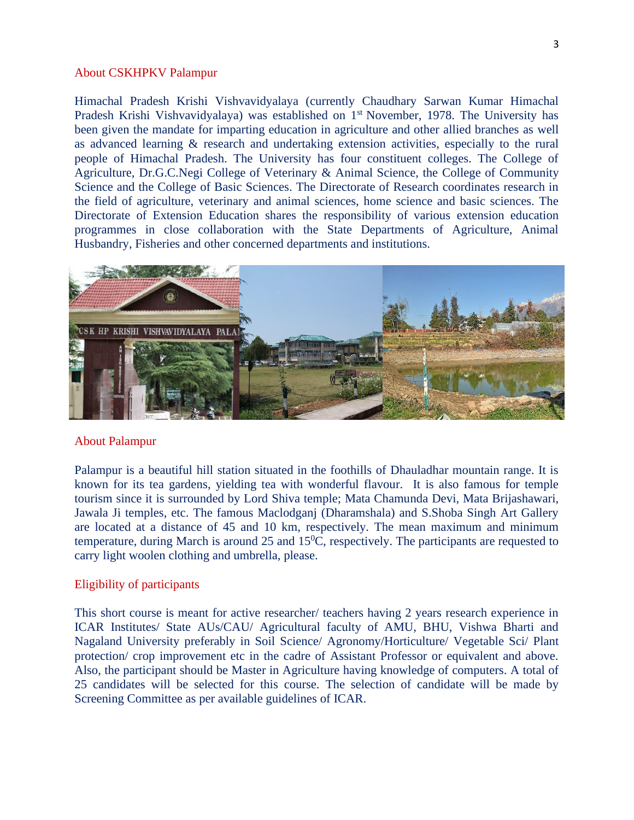#### About CSKHPKV Palampur

Himachal Pradesh Krishi Vishvavidyalaya (currently Chaudhary Sarwan Kumar Himachal Pradesh Krishi Vishvavidyalaya) was established on 1<sup>st</sup> November, 1978. The University has been given the mandate for imparting education in agriculture and other allied branches as well as advanced learning & research and undertaking extension activities, especially to the rural people of Himachal Pradesh. The University has four constituent colleges. The College of Agriculture, Dr.G.C.Negi College of Veterinary & Animal Science, the College of Community Science and the College of Basic Sciences. The Directorate of Research coordinates research in the field of agriculture, veterinary and animal sciences, home science and basic sciences. The Directorate of Extension Education shares the responsibility of various extension education programmes in close collaboration with the State Departments of Agriculture, Animal Husbandry, Fisheries and other concerned departments and institutions.



#### About Palampur

Palampur is a beautiful hill station situated in the foothills of Dhauladhar mountain range. It is known for its tea gardens, yielding tea with wonderful flavour. It is also famous for temple tourism since it is surrounded by Lord Shiva temple; Mata Chamunda Devi, Mata Brijashawari, Jawala Ji temples, etc. The famous Maclodganj (Dharamshala) and S.Shoba Singh Art Gallery are located at a distance of 45 and 10 km, respectively. The mean maximum and minimum temperature, during March is around 25 and  $15^{\circ}$ C, respectively. The participants are requested to carry light woolen clothing and umbrella, please.

#### Eligibility of participants

This short course is meant for active researcher/ teachers having 2 years research experience in ICAR Institutes/ State AUs/CAU/ Agricultural faculty of AMU, BHU, Vishwa Bharti and Nagaland University preferably in Soil Science/ Agronomy/Horticulture/ Vegetable Sci/ Plant protection/ crop improvement etc in the cadre of Assistant Professor or equivalent and above. Also, the participant should be Master in Agriculture having knowledge of computers. A total of 25 candidates will be selected for this course. The selection of candidate will be made by Screening Committee as per available guidelines of ICAR.